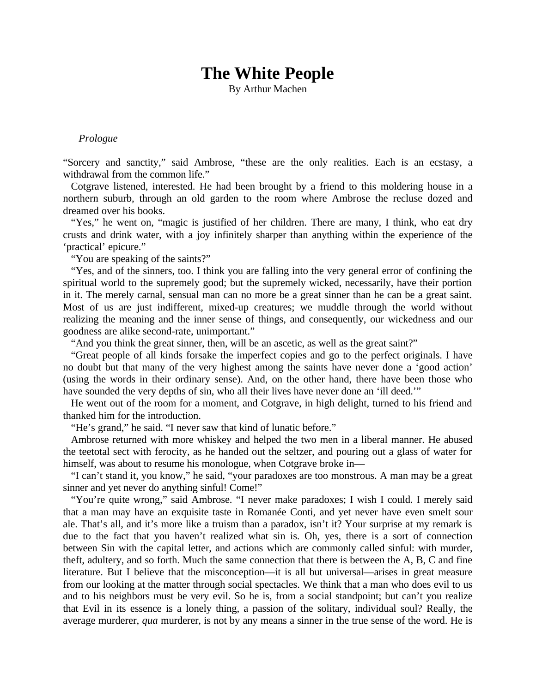## **The White People**

By Arthur Machen

## *Prologue*

"Sorcery and sanctity," said Ambrose, "these are the only realities. Each is an ecstasy, a withdrawal from the common life."

Cotgrave listened, interested. He had been brought by a friend to this moldering house in a northern suburb, through an old garden to the room where Ambrose the recluse dozed and dreamed over his books.

"Yes," he went on, "magic is justified of her children. There are many, I think, who eat dry crusts and drink water, with a joy infinitely sharper than anything within the experience of the 'practical' epicure."

"You are speaking of the saints?"

"Yes, and of the sinners, too. I think you are falling into the very general error of confining the spiritual world to the supremely good; but the supremely wicked, necessarily, have their portion in it. The merely carnal, sensual man can no more be a great sinner than he can be a great saint. Most of us are just indifferent, mixed-up creatures; we muddle through the world without realizing the meaning and the inner sense of things, and consequently, our wickedness and our goodness are alike second-rate, unimportant."

"And you think the great sinner, then, will be an ascetic, as well as the great saint?"

"Great people of all kinds forsake the imperfect copies and go to the perfect originals. I have no doubt but that many of the very highest among the saints have never done a 'good action' (using the words in their ordinary sense). And, on the other hand, there have been those who have sounded the very depths of sin, who all their lives have never done an 'ill deed.'"

He went out of the room for a moment, and Cotgrave, in high delight, turned to his friend and thanked him for the introduction.

"He's grand," he said. "I never saw that kind of lunatic before."

Ambrose returned with more whiskey and helped the two men in a liberal manner. He abused the teetotal sect with ferocity, as he handed out the seltzer, and pouring out a glass of water for himself, was about to resume his monologue, when Cotgrave broke in—

"I can't stand it, you know," he said, "your paradoxes are too monstrous. A man may be a great sinner and yet never do anything sinful! Come!"

"You're quite wrong," said Ambrose. "I never make paradoxes; I wish I could. I merely said that a man may have an exquisite taste in Romanée Conti, and yet never have even smelt sour ale. That's all, and it's more like a truism than a paradox, isn't it? Your surprise at my remark is due to the fact that you haven't realized what sin is. Oh, yes, there is a sort of connection between Sin with the capital letter, and actions which are commonly called sinful: with murder, theft, adultery, and so forth. Much the same connection that there is between the A, B, C and fine literature. But I believe that the misconception—it is all but universal—arises in great measure from our looking at the matter through social spectacles. We think that a man who does evil to us and to his neighbors must be very evil. So he is, from a social standpoint; but can't you realize that Evil in its essence is a lonely thing, a passion of the solitary, individual soul? Really, the average murderer, *qua* murderer, is not by any means a sinner in the true sense of the word. He is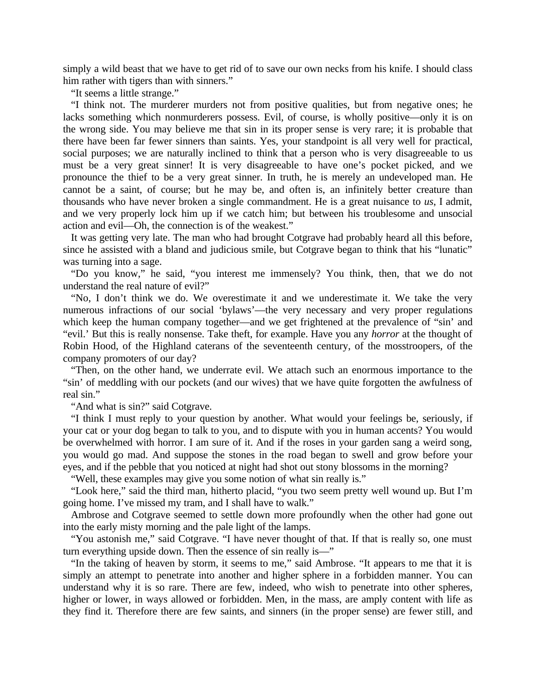simply a wild beast that we have to get rid of to save our own necks from his knife. I should class him rather with tigers than with sinners."

"It seems a little strange."

"I think not. The murderer murders not from positive qualities, but from negative ones; he lacks something which nonmurderers possess. Evil, of course, is wholly positive—only it is on the wrong side. You may believe me that sin in its proper sense is very rare; it is probable that there have been far fewer sinners than saints. Yes, your standpoint is all very well for practical, social purposes; we are naturally inclined to think that a person who is very disagreeable to us must be a very great sinner! It is very disagreeable to have one's pocket picked, and we pronounce the thief to be a very great sinner. In truth, he is merely an undeveloped man. He cannot be a saint, of course; but he may be, and often is, an infinitely better creature than thousands who have never broken a single commandment. He is a great nuisance to *us*, I admit, and we very properly lock him up if we catch him; but between his troublesome and unsocial action and evil—Oh, the connection is of the weakest."

It was getting very late. The man who had brought Cotgrave had probably heard all this before, since he assisted with a bland and judicious smile, but Cotgrave began to think that his "lunatic" was turning into a sage.

"Do you know," he said, "you interest me immensely? You think, then, that we do not understand the real nature of evil?"

"No, I don't think we do. We overestimate it and we underestimate it. We take the very numerous infractions of our social 'bylaws'—the very necessary and very proper regulations which keep the human company together—and we get frightened at the prevalence of "sin' and "evil.' But this is really nonsense. Take theft, for example. Have you any *horror* at the thought of Robin Hood, of the Highland caterans of the seventeenth century, of the mosstroopers, of the company promoters of our day?

"Then, on the other hand, we underrate evil. We attach such an enormous importance to the "sin' of meddling with our pockets (and our wives) that we have quite forgotten the awfulness of real sin."

"And what is sin?" said Cotgrave.

"I think I must reply to your question by another. What would your feelings be, seriously, if your cat or your dog began to talk to you, and to dispute with you in human accents? You would be overwhelmed with horror. I am sure of it. And if the roses in your garden sang a weird song, you would go mad. And suppose the stones in the road began to swell and grow before your eyes, and if the pebble that you noticed at night had shot out stony blossoms in the morning?

"Well, these examples may give you some notion of what sin really is."

"Look here," said the third man, hitherto placid, "you two seem pretty well wound up. But I'm going home. I've missed my tram, and I shall have to walk."

Ambrose and Cotgrave seemed to settle down more profoundly when the other had gone out into the early misty morning and the pale light of the lamps.

"You astonish me," said Cotgrave. "I have never thought of that. If that is really so, one must turn everything upside down. Then the essence of sin really is—"

"In the taking of heaven by storm, it seems to me," said Ambrose. "It appears to me that it is simply an attempt to penetrate into another and higher sphere in a forbidden manner. You can understand why it is so rare. There are few, indeed, who wish to penetrate into other spheres, higher or lower, in ways allowed or forbidden. Men, in the mass, are amply content with life as they find it. Therefore there are few saints, and sinners (in the proper sense) are fewer still, and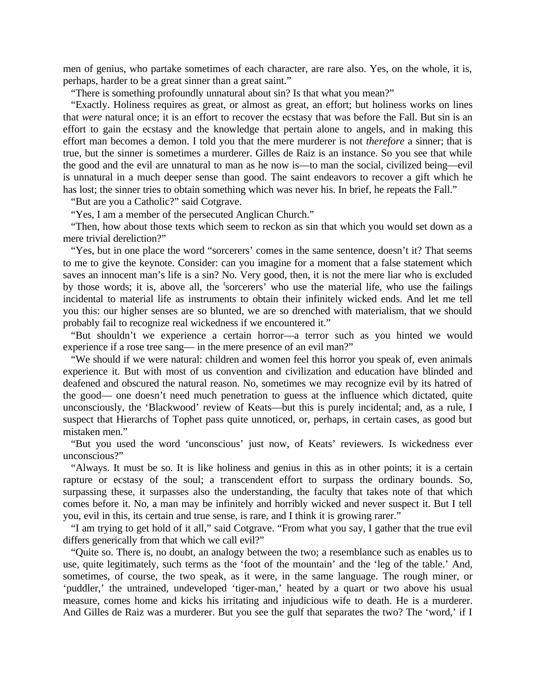men of genius, who partake sometimes of each character, are rare also. Yes, on the whole, it is, perhaps, harder to be a great sinner than a great saint."

"There is something profoundly unnatural about sin? Is that what you mean?"

"Exactly. Holiness requires as great, or almost as great, an effort; but holiness works on lines that *were* natural once; it is an effort to recover the ecstasy that was before the Fall. But sin is an effort to gain the ecstasy and the knowledge that pertain alone to angels, and in making this effort man becomes a demon. I told you that the mere murderer is not *therefore* a sinner; that is true, but the sinner is sometimes a murderer. Gilles de Raiz is an instance. So you see that while the good and the evil are unnatural to man as he now is—to man the social, civilized being—evil is unnatural in a much deeper sense than good. The saint endeavors to recover a gift which he has lost; the sinner tries to obtain something which was never his. In brief, he repeats the Fall."

"But are you a Catholic?" said Cotgrave.

"Yes, I am a member of the persecuted Anglican Church."

"Then, how about those texts which seem to reckon as sin that which you would set down as a mere trivial dereliction?"

"Yes, but in one place the word "sorcerers' comes in the same sentence, doesn't it? That seems to me to give the keynote. Consider: can you imagine for a moment that a false statement which saves an innocent man's life is a sin? No. Very good, then, it is not the mere liar who is excluded by those words; it is, above all, the 'sorcerers' who use the material life, who use the failings incidental to material life as instruments to obtain their infinitely wicked ends. And let me tell you this: our higher senses are so blunted, we are so drenched with materialism, that we should probably fail to recognize real wickedness if we encountered it."

"But shouldn't we experience a certain horror—a terror such as you hinted we would experience if a rose tree sang— in the mere presence of an evil man?"

"We should if we were natural: children and women feel this horror you speak of, even animals experience it. But with most of us convention and civilization and education have blinded and deafened and obscured the natural reason. No, sometimes we may recognize evil by its hatred of the good— one doesn't need much penetration to guess at the influence which dictated, quite unconsciously, the 'Blackwood' review of Keats—but this is purely incidental; and, as a rule, I suspect that Hierarchs of Tophet pass quite unnoticed, or, perhaps, in certain cases, as good but mistaken men."

"But you used the word 'unconscious' just now, of Keats' reviewers. Is wickedness ever unconscious?"

"Always. It must be so. It is like holiness and genius in this as in other points; it is a certain rapture or ecstasy of the soul; a transcendent effort to surpass the ordinary bounds. So, surpassing these, it surpasses also the understanding, the faculty that takes note of that which comes before it. No, a man may be infinitely and horribly wicked and never suspect it. But I tell you, evil in this, its certain and true sense, is rare, and I think it is growing rarer."

"I am trying to get hold of it all," said Cotgrave. "From what you say, I gather that the true evil differs generically from that which we call evil?"

"Quite so. There is, no doubt, an analogy between the two; a resemblance such as enables us to use, quite legitimately, such terms as the 'foot of the mountain' and the 'leg of the table.' And, sometimes, of course, the two speak, as it were, in the same language. The rough miner, or 'puddler,' the untrained, undeveloped 'tiger-man,' heated by a quart or two above his usual measure, comes home and kicks his irritating and injudicious wife to death. He is a murderer. And Gilles de Raiz was a murderer. But you see the gulf that separates the two? The 'word,' if I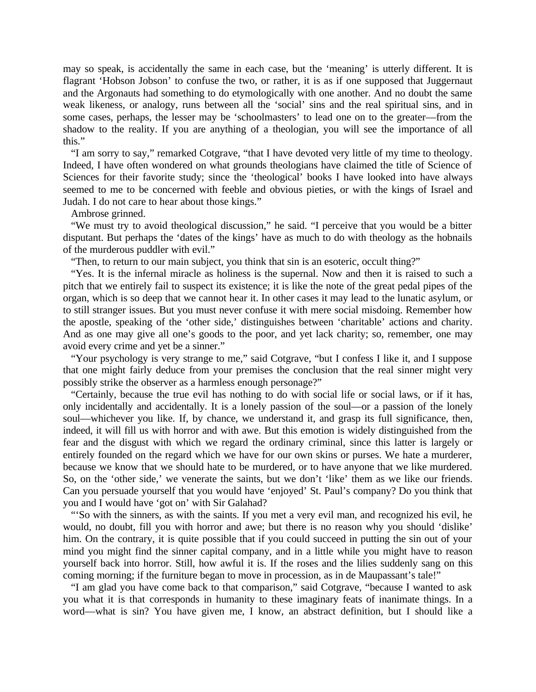may so speak, is accidentally the same in each case, but the 'meaning' is utterly different. It is flagrant 'Hobson Jobson' to confuse the two, or rather, it is as if one supposed that Juggernaut and the Argonauts had something to do etymologically with one another. And no doubt the same weak likeness, or analogy, runs between all the 'social' sins and the real spiritual sins, and in some cases, perhaps, the lesser may be 'schoolmasters' to lead one on to the greater—from the shadow to the reality. If you are anything of a theologian, you will see the importance of all this."

"I am sorry to say," remarked Cotgrave, "that I have devoted very little of my time to theology. Indeed, I have often wondered on what grounds theologians have claimed the title of Science of Sciences for their favorite study; since the 'theological' books I have looked into have always seemed to me to be concerned with feeble and obvious pieties, or with the kings of Israel and Judah. I do not care to hear about those kings."

Ambrose grinned.

"We must try to avoid theological discussion," he said. "I perceive that you would be a bitter disputant. But perhaps the 'dates of the kings' have as much to do with theology as the hobnails of the murderous puddler with evil."

"Then, to return to our main subject, you think that sin is an esoteric, occult thing?"

"Yes. It is the infernal miracle as holiness is the supernal. Now and then it is raised to such a pitch that we entirely fail to suspect its existence; it is like the note of the great pedal pipes of the organ, which is so deep that we cannot hear it. In other cases it may lead to the lunatic asylum, or to still stranger issues. But you must never confuse it with mere social misdoing. Remember how the apostle, speaking of the 'other side,' distinguishes between 'charitable' actions and charity. And as one may give all one's goods to the poor, and yet lack charity; so, remember, one may avoid every crime and yet be a sinner."

"Your psychology is very strange to me," said Cotgrave, "but I confess I like it, and I suppose that one might fairly deduce from your premises the conclusion that the real sinner might very possibly strike the observer as a harmless enough personage?"

"Certainly, because the true evil has nothing to do with social life or social laws, or if it has, only incidentally and accidentally. It is a lonely passion of the soul—or a passion of the lonely soul—whichever you like. If, by chance, we understand it, and grasp its full significance, then, indeed, it will fill us with horror and with awe. But this emotion is widely distinguished from the fear and the disgust with which we regard the ordinary criminal, since this latter is largely or entirely founded on the regard which we have for our own skins or purses. We hate a murderer, because we know that we should hate to be murdered, or to have anyone that we like murdered. So, on the 'other side,' we venerate the saints, but we don't 'like' them as we like our friends. Can you persuade yourself that you would have 'enjoyed' St. Paul's company? Do you think that you and I would have 'got on' with Sir Galahad?

"'So with the sinners, as with the saints. If you met a very evil man, and recognized his evil, he would, no doubt, fill you with horror and awe; but there is no reason why you should 'dislike' him. On the contrary, it is quite possible that if you could succeed in putting the sin out of your mind you might find the sinner capital company, and in a little while you might have to reason yourself back into horror. Still, how awful it is. If the roses and the lilies suddenly sang on this coming morning; if the furniture began to move in procession, as in de Maupassant's tale!"

"I am glad you have come back to that comparison," said Cotgrave, "because I wanted to ask you what it is that corresponds in humanity to these imaginary feats of inanimate things. In a word—what is sin? You have given me, I know, an abstract definition, but I should like a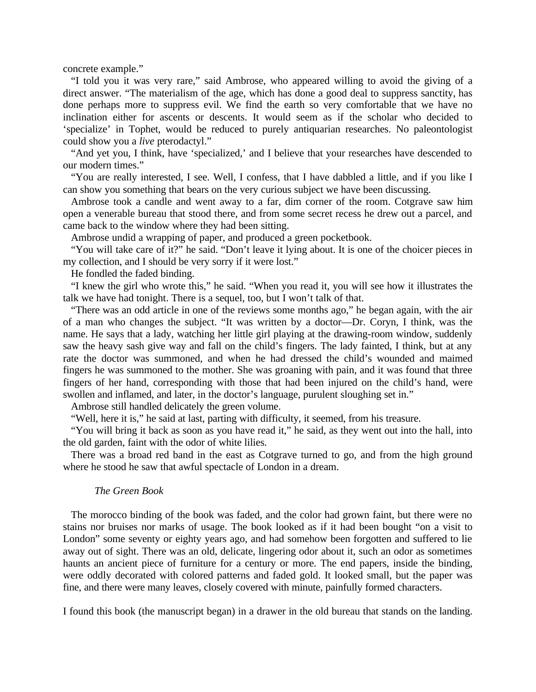concrete example."

"I told you it was very rare," said Ambrose, who appeared willing to avoid the giving of a direct answer. "The materialism of the age, which has done a good deal to suppress sanctity, has done perhaps more to suppress evil. We find the earth so very comfortable that we have no inclination either for ascents or descents. It would seem as if the scholar who decided to 'specialize' in Tophet, would be reduced to purely antiquarian researches. No paleontologist could show you a *live* pterodactyl."

"And yet you, I think, have 'specialized,' and I believe that your researches have descended to our modern times."

"You are really interested, I see. Well, I confess, that I have dabbled a little, and if you like I can show you something that bears on the very curious subject we have been discussing.

Ambrose took a candle and went away to a far, dim corner of the room. Cotgrave saw him open a venerable bureau that stood there, and from some secret recess he drew out a parcel, and came back to the window where they had been sitting.

Ambrose undid a wrapping of paper, and produced a green pocketbook.

"You will take care of it?" he said. "Don't leave it lying about. It is one of the choicer pieces in my collection, and I should be very sorry if it were lost."

He fondled the faded binding.

"I knew the girl who wrote this," he said. "When you read it, you will see how it illustrates the talk we have had tonight. There is a sequel, too, but I won't talk of that.

"There was an odd article in one of the reviews some months ago," he began again, with the air of a man who changes the subject. "It was written by a doctor—Dr. Coryn, I think, was the name. He says that a lady, watching her little girl playing at the drawing-room window, suddenly saw the heavy sash give way and fall on the child's fingers. The lady fainted, I think, but at any rate the doctor was summoned, and when he had dressed the child's wounded and maimed fingers he was summoned to the mother. She was groaning with pain, and it was found that three fingers of her hand, corresponding with those that had been injured on the child's hand, were swollen and inflamed, and later, in the doctor's language, purulent sloughing set in."

Ambrose still handled delicately the green volume.

"Well, here it is," he said at last, parting with difficulty, it seemed, from his treasure.

"You will bring it back as soon as you have read it," he said, as they went out into the hall, into the old garden, faint with the odor of white lilies.

There was a broad red band in the east as Cotgrave turned to go, and from the high ground where he stood he saw that awful spectacle of London in a dream.

## *The Green Book*

The morocco binding of the book was faded, and the color had grown faint, but there were no stains nor bruises nor marks of usage. The book looked as if it had been bought "on a visit to London" some seventy or eighty years ago, and had somehow been forgotten and suffered to lie away out of sight. There was an old, delicate, lingering odor about it, such an odor as sometimes haunts an ancient piece of furniture for a century or more. The end papers, inside the binding, were oddly decorated with colored patterns and faded gold. It looked small, but the paper was fine, and there were many leaves, closely covered with minute, painfully formed characters.

I found this book (the manuscript began) in a drawer in the old bureau that stands on the landing.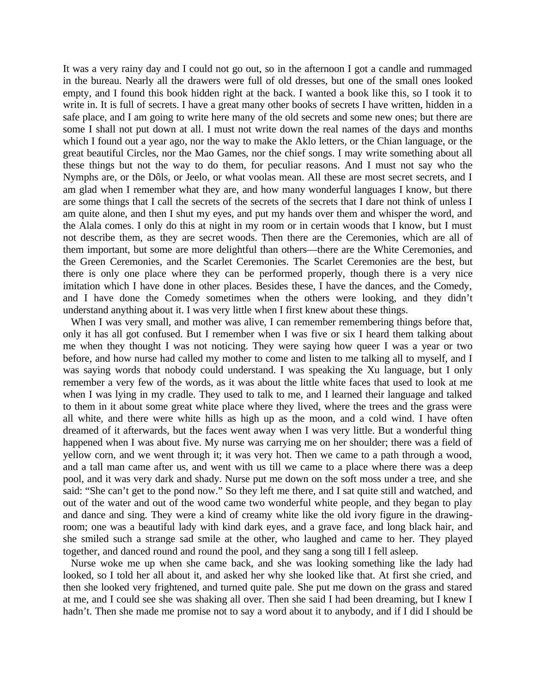It was a very rainy day and I could not go out, so in the afternoon I got a candle and rummaged in the bureau. Nearly all the drawers were full of old dresses, but one of the small ones looked empty, and I found this book hidden right at the back. I wanted a book like this, so I took it to write in. It is full of secrets. I have a great many other books of secrets I have written, hidden in a safe place, and I am going to write here many of the old secrets and some new ones; but there are some I shall not put down at all. I must not write down the real names of the days and months which I found out a year ago, nor the way to make the Aklo letters, or the Chian language, or the great beautiful Circles, nor the Mao Games, nor the chief songs. I may write something about all these things but not the way to do them, for peculiar reasons. And I must not say who the Nymphs are, or the Dôls, or Jeelo, or what voolas mean. All these are most secret secrets, and I am glad when I remember what they are, and how many wonderful languages I know, but there are some things that I call the secrets of the secrets of the secrets that I dare not think of unless I am quite alone, and then I shut my eyes, and put my hands over them and whisper the word, and the Alala comes. I only do this at night in my room or in certain woods that I know, but I must not describe them, as they are secret woods. Then there are the Ceremonies, which are all of them important, but some are more delightful than others—there are the White Ceremonies, and the Green Ceremonies, and the Scarlet Ceremonies. The Scarlet Ceremonies are the best, but there is only one place where they can be performed properly, though there is a very nice imitation which I have done in other places. Besides these, I have the dances, and the Comedy, and I have done the Comedy sometimes when the others were looking, and they didn't understand anything about it. I was very little when I first knew about these things.

When I was very small, and mother was alive, I can remember remembering things before that, only it has all got confused. But I remember when I was five or six I heard them talking about me when they thought I was not noticing. They were saying how queer I was a year or two before, and how nurse had called my mother to come and listen to me talking all to myself, and I was saying words that nobody could understand. I was speaking the Xu language, but I only remember a very few of the words, as it was about the little white faces that used to look at me when I was lying in my cradle. They used to talk to me, and I learned their language and talked to them in it about some great white place where they lived, where the trees and the grass were all white, and there were white hills as high up as the moon, and a cold wind. I have often dreamed of it afterwards, but the faces went away when I was very little. But a wonderful thing happened when I was about five. My nurse was carrying me on her shoulder; there was a field of yellow corn, and we went through it; it was very hot. Then we came to a path through a wood, and a tall man came after us, and went with us till we came to a place where there was a deep pool, and it was very dark and shady. Nurse put me down on the soft moss under a tree, and she said: "She can't get to the pond now." So they left me there, and I sat quite still and watched, and out of the water and out of the wood came two wonderful white people, and they began to play and dance and sing. They were a kind of creamy white like the old ivory figure in the drawingroom; one was a beautiful lady with kind dark eyes, and a grave face, and long black hair, and she smiled such a strange sad smile at the other, who laughed and came to her. They played together, and danced round and round the pool, and they sang a song till I fell asleep.

Nurse woke me up when she came back, and she was looking something like the lady had looked, so I told her all about it, and asked her why she looked like that. At first she cried, and then she looked very frightened, and turned quite pale. She put me down on the grass and stared at me, and I could see she was shaking all over. Then she said I had been dreaming, but I knew I hadn't. Then she made me promise not to say a word about it to anybody, and if I did I should be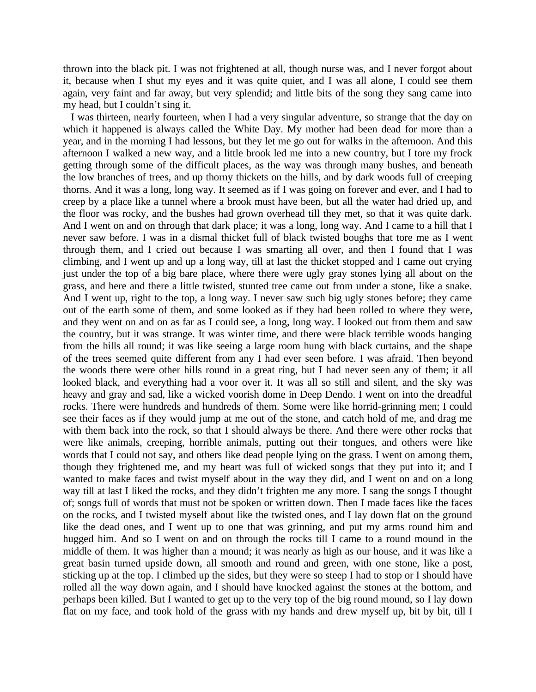thrown into the black pit. I was not frightened at all, though nurse was, and I never forgot about it, because when I shut my eyes and it was quite quiet, and I was all alone, I could see them again, very faint and far away, but very splendid; and little bits of the song they sang came into my head, but I couldn't sing it.

I was thirteen, nearly fourteen, when I had a very singular adventure, so strange that the day on which it happened is always called the White Day. My mother had been dead for more than a year, and in the morning I had lessons, but they let me go out for walks in the afternoon. And this afternoon I walked a new way, and a little brook led me into a new country, but I tore my frock getting through some of the difficult places, as the way was through many bushes, and beneath the low branches of trees, and up thorny thickets on the hills, and by dark woods full of creeping thorns. And it was a long, long way. It seemed as if I was going on forever and ever, and I had to creep by a place like a tunnel where a brook must have been, but all the water had dried up, and the floor was rocky, and the bushes had grown overhead till they met, so that it was quite dark. And I went on and on through that dark place; it was a long, long way. And I came to a hill that I never saw before. I was in a dismal thicket full of black twisted boughs that tore me as I went through them, and I cried out because I was smarting all over, and then I found that I was climbing, and I went up and up a long way, till at last the thicket stopped and I came out crying just under the top of a big bare place, where there were ugly gray stones lying all about on the grass, and here and there a little twisted, stunted tree came out from under a stone, like a snake. And I went up, right to the top, a long way. I never saw such big ugly stones before; they came out of the earth some of them, and some looked as if they had been rolled to where they were, and they went on and on as far as I could see, a long, long way. I looked out from them and saw the country, but it was strange. It was winter time, and there were black terrible woods hanging from the hills all round; it was like seeing a large room hung with black curtains, and the shape of the trees seemed quite different from any I had ever seen before. I was afraid. Then beyond the woods there were other hills round in a great ring, but I had never seen any of them; it all looked black, and everything had a voor over it. It was all so still and silent, and the sky was heavy and gray and sad, like a wicked voorish dome in Deep Dendo. I went on into the dreadful rocks. There were hundreds and hundreds of them. Some were like horrid-grinning men; I could see their faces as if they would jump at me out of the stone, and catch hold of me, and drag me with them back into the rock, so that I should always be there. And there were other rocks that were like animals, creeping, horrible animals, putting out their tongues, and others were like words that I could not say, and others like dead people lying on the grass. I went on among them, though they frightened me, and my heart was full of wicked songs that they put into it; and I wanted to make faces and twist myself about in the way they did, and I went on and on a long way till at last I liked the rocks, and they didn't frighten me any more. I sang the songs I thought of; songs full of words that must not be spoken or written down. Then I made faces like the faces on the rocks, and I twisted myself about like the twisted ones, and I lay down flat on the ground like the dead ones, and I went up to one that was grinning, and put my arms round him and hugged him. And so I went on and on through the rocks till I came to a round mound in the middle of them. It was higher than a mound; it was nearly as high as our house, and it was like a great basin turned upside down, all smooth and round and green, with one stone, like a post, sticking up at the top. I climbed up the sides, but they were so steep I had to stop or I should have rolled all the way down again, and I should have knocked against the stones at the bottom, and perhaps been killed. But I wanted to get up to the very top of the big round mound, so I lay down flat on my face, and took hold of the grass with my hands and drew myself up, bit by bit, till I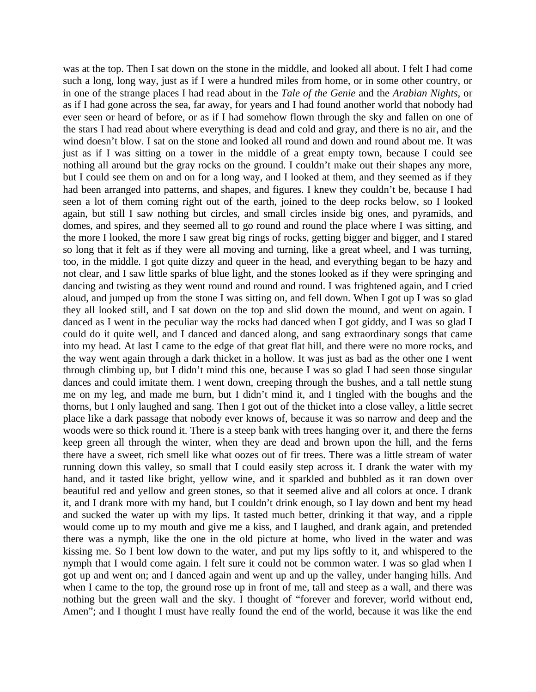was at the top. Then I sat down on the stone in the middle, and looked all about. I felt I had come such a long, long way, just as if I were a hundred miles from home, or in some other country, or in one of the strange places I had read about in the *Tale of the Genie* and the *Arabian Nights,* or as if I had gone across the sea, far away, for years and I had found another world that nobody had ever seen or heard of before, or as if I had somehow flown through the sky and fallen on one of the stars I had read about where everything is dead and cold and gray, and there is no air, and the wind doesn't blow. I sat on the stone and looked all round and down and round about me. It was just as if I was sitting on a tower in the middle of a great empty town, because I could see nothing all around but the gray rocks on the ground. I couldn't make out their shapes any more, but I could see them on and on for a long way, and I looked at them, and they seemed as if they had been arranged into patterns, and shapes, and figures. I knew they couldn't be, because I had seen a lot of them coming right out of the earth, joined to the deep rocks below, so I looked again, but still I saw nothing but circles, and small circles inside big ones, and pyramids, and domes, and spires, and they seemed all to go round and round the place where I was sitting, and the more I looked, the more I saw great big rings of rocks, getting bigger and bigger, and I stared so long that it felt as if they were all moving and turning, like a great wheel, and I was turning, too, in the middle. I got quite dizzy and queer in the head, and everything began to be hazy and not clear, and I saw little sparks of blue light, and the stones looked as if they were springing and dancing and twisting as they went round and round and round. I was frightened again, and I cried aloud, and jumped up from the stone I was sitting on, and fell down. When I got up I was so glad they all looked still, and I sat down on the top and slid down the mound, and went on again. I danced as I went in the peculiar way the rocks had danced when I got giddy, and I was so glad I could do it quite well, and I danced and danced along, and sang extraordinary songs that came into my head. At last I came to the edge of that great flat hill, and there were no more rocks, and the way went again through a dark thicket in a hollow. It was just as bad as the other one I went through climbing up, but I didn't mind this one, because I was so glad I had seen those singular dances and could imitate them. I went down, creeping through the bushes, and a tall nettle stung me on my leg, and made me burn, but I didn't mind it, and I tingled with the boughs and the thorns, but I only laughed and sang. Then I got out of the thicket into a close valley, a little secret place like a dark passage that nobody ever knows of, because it was so narrow and deep and the woods were so thick round it. There is a steep bank with trees hanging over it, and there the ferns keep green all through the winter, when they are dead and brown upon the hill, and the ferns there have a sweet, rich smell like what oozes out of fir trees. There was a little stream of water running down this valley, so small that I could easily step across it. I drank the water with my hand, and it tasted like bright, yellow wine, and it sparkled and bubbled as it ran down over beautiful red and yellow and green stones, so that it seemed alive and all colors at once. I drank it, and I drank more with my hand, but I couldn't drink enough, so I lay down and bent my head and sucked the water up with my lips. It tasted much better, drinking it that way, and a ripple would come up to my mouth and give me a kiss, and I laughed, and drank again, and pretended there was a nymph, like the one in the old picture at home, who lived in the water and was kissing me. So I bent low down to the water, and put my lips softly to it, and whispered to the nymph that I would come again. I felt sure it could not be common water. I was so glad when I got up and went on; and I danced again and went up and up the valley, under hanging hills. And when I came to the top, the ground rose up in front of me, tall and steep as a wall, and there was nothing but the green wall and the sky. I thought of "forever and forever, world without end, Amen"; and I thought I must have really found the end of the world, because it was like the end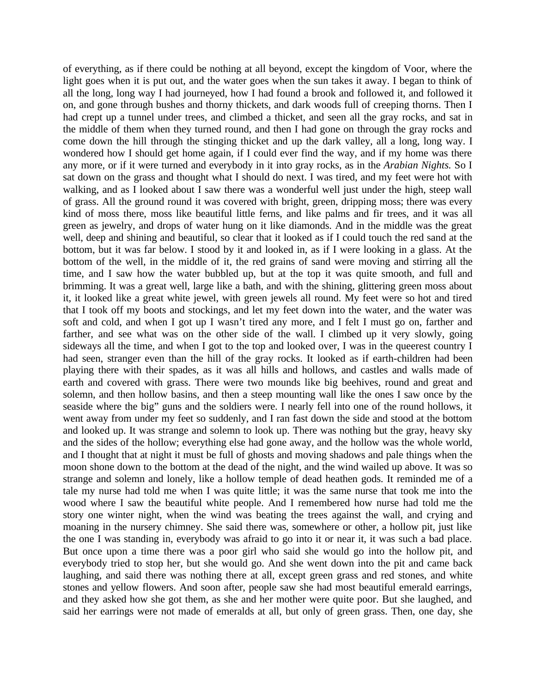of everything, as if there could be nothing at all beyond, except the kingdom of Voor, where the light goes when it is put out, and the water goes when the sun takes it away. I began to think of all the long, long way I had journeyed, how I had found a brook and followed it, and followed it on, and gone through bushes and thorny thickets, and dark woods full of creeping thorns. Then I had crept up a tunnel under trees, and climbed a thicket, and seen all the gray rocks, and sat in the middle of them when they turned round, and then I had gone on through the gray rocks and come down the hill through the stinging thicket and up the dark valley, all a long, long way. I wondered how I should get home again, if I could ever find the way, and if my home was there any more, or if it were turned and everybody in it into gray rocks, as in the *Arabian Nights.* So I sat down on the grass and thought what I should do next. I was tired, and my feet were hot with walking, and as I looked about I saw there was a wonderful well just under the high, steep wall of grass. All the ground round it was covered with bright, green, dripping moss; there was every kind of moss there, moss like beautiful little ferns, and like palms and fir trees, and it was all green as jewelry, and drops of water hung on it like diamonds. And in the middle was the great well, deep and shining and beautiful, so clear that it looked as if I could touch the red sand at the bottom, but it was far below. I stood by it and looked in, as if I were looking in a glass. At the bottom of the well, in the middle of it, the red grains of sand were moving and stirring all the time, and I saw how the water bubbled up, but at the top it was quite smooth, and full and brimming. It was a great well, large like a bath, and with the shining, glittering green moss about it, it looked like a great white jewel, with green jewels all round. My feet were so hot and tired that I took off my boots and stockings, and let my feet down into the water, and the water was soft and cold, and when I got up I wasn't tired any more, and I felt I must go on, farther and farther, and see what was on the other side of the wall. I climbed up it very slowly, going sideways all the time, and when I got to the top and looked over, I was in the queerest country I had seen, stranger even than the hill of the gray rocks. It looked as if earth-children had been playing there with their spades, as it was all hills and hollows, and castles and walls made of earth and covered with grass. There were two mounds like big beehives, round and great and solemn, and then hollow basins, and then a steep mounting wall like the ones I saw once by the seaside where the big" guns and the soldiers were. I nearly fell into one of the round hollows, it went away from under my feet so suddenly, and I ran fast down the side and stood at the bottom and looked up. It was strange and solemn to look up. There was nothing but the gray, heavy sky and the sides of the hollow; everything else had gone away, and the hollow was the whole world, and I thought that at night it must be full of ghosts and moving shadows and pale things when the moon shone down to the bottom at the dead of the night, and the wind wailed up above. It was so strange and solemn and lonely, like a hollow temple of dead heathen gods. It reminded me of a tale my nurse had told me when I was quite little; it was the same nurse that took me into the wood where I saw the beautiful white people. And I remembered how nurse had told me the story one winter night, when the wind was beating the trees against the wall, and crying and moaning in the nursery chimney. She said there was, somewhere or other, a hollow pit, just like the one I was standing in, everybody was afraid to go into it or near it, it was such a bad place. But once upon a time there was a poor girl who said she would go into the hollow pit, and everybody tried to stop her, but she would go. And she went down into the pit and came back laughing, and said there was nothing there at all, except green grass and red stones, and white stones and yellow flowers. And soon after, people saw she had most beautiful emerald earrings, and they asked how she got them, as she and her mother were quite poor. But she laughed, and said her earrings were not made of emeralds at all, but only of green grass. Then, one day, she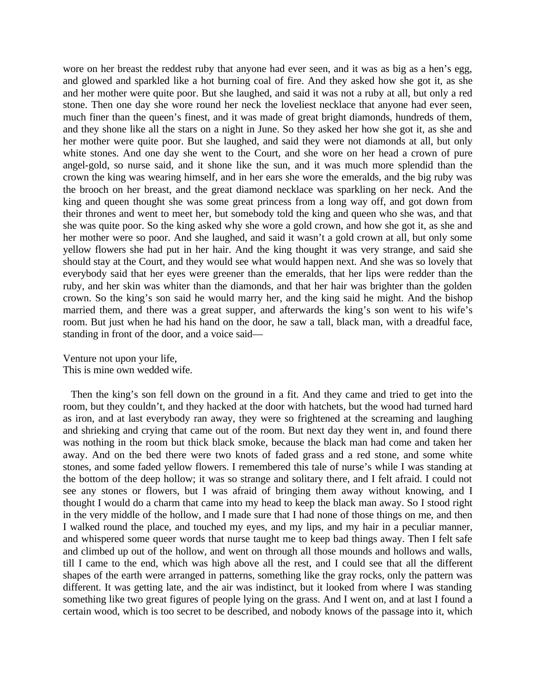wore on her breast the reddest ruby that anyone had ever seen, and it was as big as a hen's egg, and glowed and sparkled like a hot burning coal of fire. And they asked how she got it, as she and her mother were quite poor. But she laughed, and said it was not a ruby at all, but only a red stone. Then one day she wore round her neck the loveliest necklace that anyone had ever seen, much finer than the queen's finest, and it was made of great bright diamonds, hundreds of them, and they shone like all the stars on a night in June. So they asked her how she got it, as she and her mother were quite poor. But she laughed, and said they were not diamonds at all, but only white stones. And one day she went to the Court, and she wore on her head a crown of pure angel-gold, so nurse said, and it shone like the sun, and it was much more splendid than the crown the king was wearing himself, and in her ears she wore the emeralds, and the big ruby was the brooch on her breast, and the great diamond necklace was sparkling on her neck. And the king and queen thought she was some great princess from a long way off, and got down from their thrones and went to meet her, but somebody told the king and queen who she was, and that she was quite poor. So the king asked why she wore a gold crown, and how she got it, as she and her mother were so poor. And she laughed, and said it wasn't a gold crown at all, but only some yellow flowers she had put in her hair. And the king thought it was very strange, and said she should stay at the Court, and they would see what would happen next. And she was so lovely that everybody said that her eyes were greener than the emeralds, that her lips were redder than the ruby, and her skin was whiter than the diamonds, and that her hair was brighter than the golden crown. So the king's son said he would marry her, and the king said he might. And the bishop married them, and there was a great supper, and afterwards the king's son went to his wife's room. But just when he had his hand on the door, he saw a tall, black man, with a dreadful face, standing in front of the door, and a voice said—

Venture not upon your life, This is mine own wedded wife.

Then the king's son fell down on the ground in a fit. And they came and tried to get into the room, but they couldn't, and they hacked at the door with hatchets, but the wood had turned hard as iron, and at last everybody ran away, they were so frightened at the screaming and laughing and shrieking and crying that came out of the room. But next day they went in, and found there was nothing in the room but thick black smoke, because the black man had come and taken her away. And on the bed there were two knots of faded grass and a red stone, and some white stones, and some faded yellow flowers. I remembered this tale of nurse's while I was standing at the bottom of the deep hollow; it was so strange and solitary there, and I felt afraid. I could not see any stones or flowers, but I was afraid of bringing them away without knowing, and I thought I would do a charm that came into my head to keep the black man away. So I stood right in the very middle of the hollow, and I made sure that I had none of those things on me, and then I walked round the place, and touched my eyes, and my lips, and my hair in a peculiar manner, and whispered some queer words that nurse taught me to keep bad things away. Then I felt safe and climbed up out of the hollow, and went on through all those mounds and hollows and walls, till I came to the end, which was high above all the rest, and I could see that all the different shapes of the earth were arranged in patterns, something like the gray rocks, only the pattern was different. It was getting late, and the air was indistinct, but it looked from where I was standing something like two great figures of people lying on the grass. And I went on, and at last I found a certain wood, which is too secret to be described, and nobody knows of the passage into it, which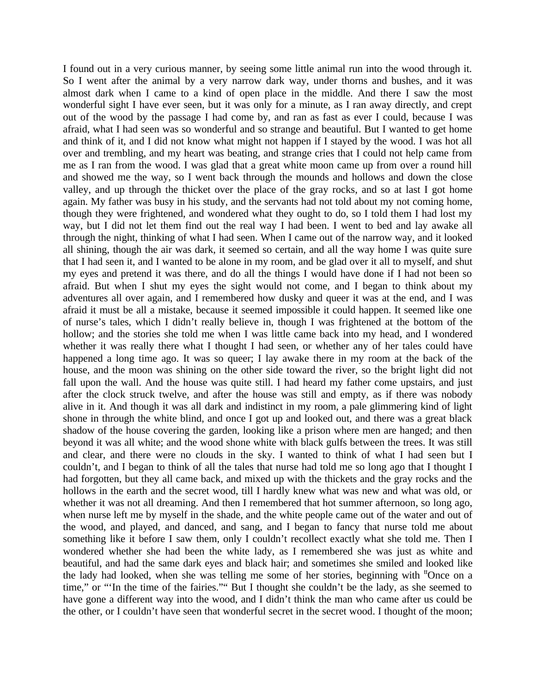I found out in a very curious manner, by seeing some little animal run into the wood through it. So I went after the animal by a very narrow dark way, under thorns and bushes, and it was almost dark when I came to a kind of open place in the middle. And there I saw the most wonderful sight I have ever seen, but it was only for a minute, as I ran away directly, and crept out of the wood by the passage I had come by, and ran as fast as ever I could, because I was afraid, what I had seen was so wonderful and so strange and beautiful. But I wanted to get home and think of it, and I did not know what might not happen if I stayed by the wood. I was hot all over and trembling, and my heart was beating, and strange cries that I could not help came from me as I ran from the wood. I was glad that a great white moon came up from over a round hill and showed me the way, so I went back through the mounds and hollows and down the close valley, and up through the thicket over the place of the gray rocks, and so at last I got home again. My father was busy in his study, and the servants had not told about my not coming home, though they were frightened, and wondered what they ought to do, so I told them I had lost my way, but I did not let them find out the real way I had been. I went to bed and lay awake all through the night, thinking of what I had seen. When I came out of the narrow way, and it looked all shining, though the air was dark, it seemed so certain, and all the way home I was quite sure that I had seen it, and I wanted to be alone in my room, and be glad over it all to myself, and shut my eyes and pretend it was there, and do all the things I would have done if I had not been so afraid. But when I shut my eyes the sight would not come, and I began to think about my adventures all over again, and I remembered how dusky and queer it was at the end, and I was afraid it must be all a mistake, because it seemed impossible it could happen. It seemed like one of nurse's tales, which I didn't really believe in, though I was frightened at the bottom of the hollow; and the stories she told me when I was little came back into my head, and I wondered whether it was really there what I thought I had seen, or whether any of her tales could have happened a long time ago. It was so queer; I lay awake there in my room at the back of the house, and the moon was shining on the other side toward the river, so the bright light did not fall upon the wall. And the house was quite still. I had heard my father come upstairs, and just after the clock struck twelve, and after the house was still and empty, as if there was nobody alive in it. And though it was all dark and indistinct in my room, a pale glimmering kind of light shone in through the white blind, and once I got up and looked out, and there was a great black shadow of the house covering the garden, looking like a prison where men are hanged; and then beyond it was all white; and the wood shone white with black gulfs between the trees. It was still and clear, and there were no clouds in the sky. I wanted to think of what I had seen but I couldn't, and I began to think of all the tales that nurse had told me so long ago that I thought I had forgotten, but they all came back, and mixed up with the thickets and the gray rocks and the hollows in the earth and the secret wood, till I hardly knew what was new and what was old, or whether it was not all dreaming. And then I remembered that hot summer afternoon, so long ago, when nurse left me by myself in the shade, and the white people came out of the water and out of the wood, and played, and danced, and sang, and I began to fancy that nurse told me about something like it before I saw them, only I couldn't recollect exactly what she told me. Then I wondered whether she had been the white lady, as I remembered she was just as white and beautiful, and had the same dark eyes and black hair; and sometimes she smiled and looked like the lady had looked, when she was telling me some of her stories, beginning with <sup>tt</sup>Once on a time," or "'In the time of the fairies."" But I thought she couldn't be the lady, as she seemed to have gone a different way into the wood, and I didn't think the man who came after us could be the other, or I couldn't have seen that wonderful secret in the secret wood. I thought of the moon;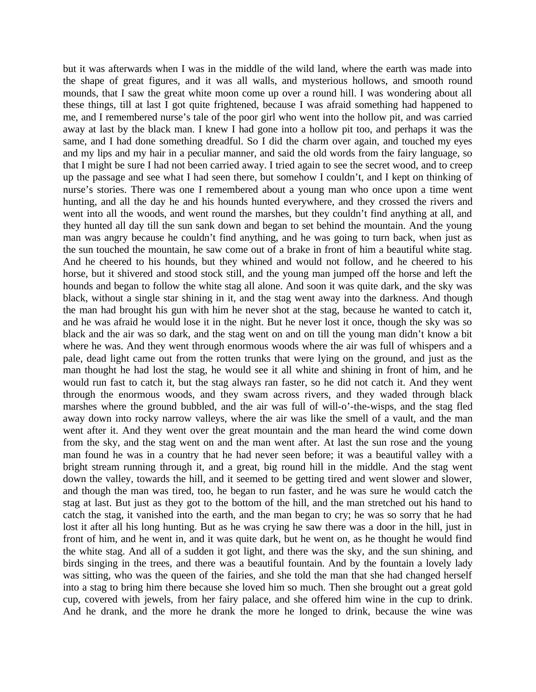but it was afterwards when I was in the middle of the wild land, where the earth was made into the shape of great figures, and it was all walls, and mysterious hollows, and smooth round mounds, that I saw the great white moon come up over a round hill. I was wondering about all these things, till at last I got quite frightened, because I was afraid something had happened to me, and I remembered nurse's tale of the poor girl who went into the hollow pit, and was carried away at last by the black man. I knew I had gone into a hollow pit too, and perhaps it was the same, and I had done something dreadful. So I did the charm over again, and touched my eyes and my lips and my hair in a peculiar manner, and said the old words from the fairy language, so that I might be sure I had not been carried away. I tried again to see the secret wood, and to creep up the passage and see what I had seen there, but somehow I couldn't, and I kept on thinking of nurse's stories. There was one I remembered about a young man who once upon a time went hunting, and all the day he and his hounds hunted everywhere, and they crossed the rivers and went into all the woods, and went round the marshes, but they couldn't find anything at all, and they hunted all day till the sun sank down and began to set behind the mountain. And the young man was angry because he couldn't find anything, and he was going to turn back, when just as the sun touched the mountain, he saw come out of a brake in front of him a beautiful white stag. And he cheered to his hounds, but they whined and would not follow, and he cheered to his horse, but it shivered and stood stock still, and the young man jumped off the horse and left the hounds and began to follow the white stag all alone. And soon it was quite dark, and the sky was black, without a single star shining in it, and the stag went away into the darkness. And though the man had brought his gun with him he never shot at the stag, because he wanted to catch it, and he was afraid he would lose it in the night. But he never lost it once, though the sky was so black and the air was so dark, and the stag went on and on till the young man didn't know a bit where he was. And they went through enormous woods where the air was full of whispers and a pale, dead light came out from the rotten trunks that were lying on the ground, and just as the man thought he had lost the stag, he would see it all white and shining in front of him, and he would run fast to catch it, but the stag always ran faster, so he did not catch it. And they went through the enormous woods, and they swam across rivers, and they waded through black marshes where the ground bubbled, and the air was full of will-o'-the-wisps, and the stag fled away down into rocky narrow valleys, where the air was like the smell of a vault, and the man went after it. And they went over the great mountain and the man heard the wind come down from the sky, and the stag went on and the man went after. At last the sun rose and the young man found he was in a country that he had never seen before; it was a beautiful valley with a bright stream running through it, and a great, big round hill in the middle. And the stag went down the valley, towards the hill, and it seemed to be getting tired and went slower and slower, and though the man was tired, too, he began to run faster, and he was sure he would catch the stag at last. But just as they got to the bottom of the hill, and the man stretched out his hand to catch the stag, it vanished into the earth, and the man began to cry; he was so sorry that he had lost it after all his long hunting. But as he was crying he saw there was a door in the hill, just in front of him, and he went in, and it was quite dark, but he went on, as he thought he would find the white stag. And all of a sudden it got light, and there was the sky, and the sun shining, and birds singing in the trees, and there was a beautiful fountain. And by the fountain a lovely lady was sitting, who was the queen of the fairies, and she told the man that she had changed herself into a stag to bring him there because she loved him so much. Then she brought out a great gold cup, covered with jewels, from her fairy palace, and she offered him wine in the cup to drink. And he drank, and the more he drank the more he longed to drink, because the wine was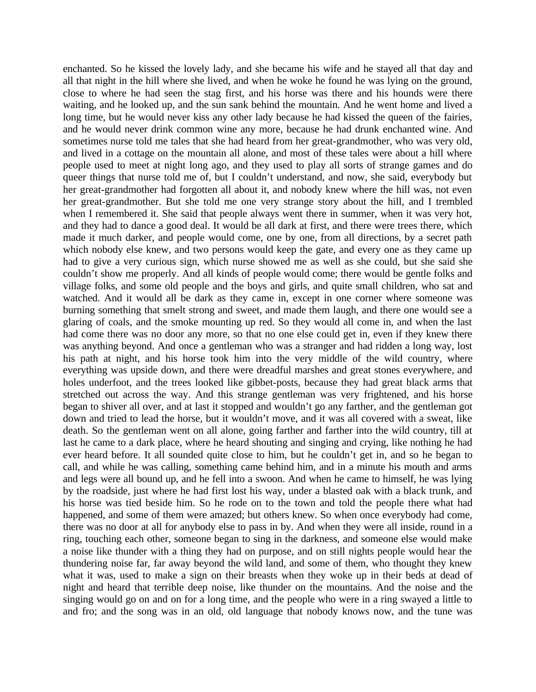enchanted. So he kissed the lovely lady, and she became his wife and he stayed all that day and all that night in the hill where she lived, and when he woke he found he was lying on the ground, close to where he had seen the stag first, and his horse was there and his hounds were there waiting, and he looked up, and the sun sank behind the mountain. And he went home and lived a long time, but he would never kiss any other lady because he had kissed the queen of the fairies, and he would never drink common wine any more, because he had drunk enchanted wine. And sometimes nurse told me tales that she had heard from her great-grandmother, who was very old, and lived in a cottage on the mountain all alone, and most of these tales were about a hill where people used to meet at night long ago, and they used to play all sorts of strange games and do queer things that nurse told me of, but I couldn't understand, and now, she said, everybody but her great-grandmother had forgotten all about it, and nobody knew where the hill was, not even her great-grandmother. But she told me one very strange story about the hill, and I trembled when I remembered it. She said that people always went there in summer, when it was very hot, and they had to dance a good deal. It would be all dark at first, and there were trees there, which made it much darker, and people would come, one by one, from all directions, by a secret path which nobody else knew, and two persons would keep the gate, and every one as they came up had to give a very curious sign, which nurse showed me as well as she could, but she said she couldn't show me properly. And all kinds of people would come; there would be gentle folks and village folks, and some old people and the boys and girls, and quite small children, who sat and watched. And it would all be dark as they came in, except in one corner where someone was burning something that smelt strong and sweet, and made them laugh, and there one would see a glaring of coals, and the smoke mounting up red. So they would all come in, and when the last had come there was no door any more, so that no one else could get in, even if they knew there was anything beyond. And once a gentleman who was a stranger and had ridden a long way, lost his path at night, and his horse took him into the very middle of the wild country, where everything was upside down, and there were dreadful marshes and great stones everywhere, and holes underfoot, and the trees looked like gibbet-posts, because they had great black arms that stretched out across the way. And this strange gentleman was very frightened, and his horse began to shiver all over, and at last it stopped and wouldn't go any farther, and the gentleman got down and tried to lead the horse, but it wouldn't move, and it was all covered with a sweat, like death. So the gentleman went on all alone, going farther and farther into the wild country, till at last he came to a dark place, where he heard shouting and singing and crying, like nothing he had ever heard before. It all sounded quite close to him, but he couldn't get in, and so he began to call, and while he was calling, something came behind him, and in a minute his mouth and arms and legs were all bound up, and he fell into a swoon. And when he came to himself, he was lying by the roadside, just where he had first lost his way, under a blasted oak with a black trunk, and his horse was tied beside him. So he rode on to the town and told the people there what had happened, and some of them were amazed; but others knew. So when once everybody had come, there was no door at all for anybody else to pass in by. And when they were all inside, round in a ring, touching each other, someone began to sing in the darkness, and someone else would make a noise like thunder with a thing they had on purpose, and on still nights people would hear the thundering noise far, far away beyond the wild land, and some of them, who thought they knew what it was, used to make a sign on their breasts when they woke up in their beds at dead of night and heard that terrible deep noise, like thunder on the mountains. And the noise and the singing would go on and on for a long time, and the people who were in a ring swayed a little to and fro; and the song was in an old, old language that nobody knows now, and the tune was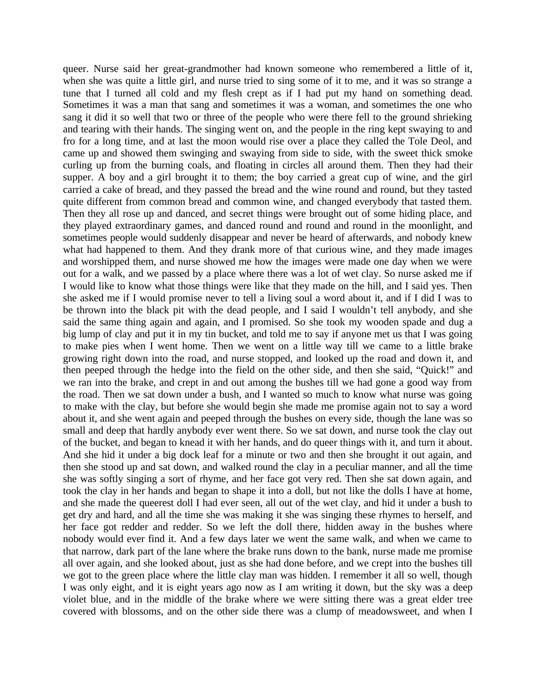queer. Nurse said her great-grandmother had known someone who remembered a little of it, when she was quite a little girl, and nurse tried to sing some of it to me, and it was so strange a tune that I turned all cold and my flesh crept as if I had put my hand on something dead. Sometimes it was a man that sang and sometimes it was a woman, and sometimes the one who sang it did it so well that two or three of the people who were there fell to the ground shrieking and tearing with their hands. The singing went on, and the people in the ring kept swaying to and fro for a long time, and at last the moon would rise over a place they called the Tole Deol, and came up and showed them swinging and swaying from side to side, with the sweet thick smoke curling up from the burning coals, and floating in circles all around them. Then they had their supper. A boy and a girl brought it to them; the boy carried a great cup of wine, and the girl carried a cake of bread, and they passed the bread and the wine round and round, but they tasted quite different from common bread and common wine, and changed everybody that tasted them. Then they all rose up and danced, and secret things were brought out of some hiding place, and they played extraordinary games, and danced round and round and round in the moonlight, and sometimes people would suddenly disappear and never be heard of afterwards, and nobody knew what had happened to them. And they drank more of that curious wine, and they made images and worshipped them, and nurse showed me how the images were made one day when we were out for a walk, and we passed by a place where there was a lot of wet clay. So nurse asked me if I would like to know what those things were like that they made on the hill, and I said yes. Then she asked me if I would promise never to tell a living soul a word about it, and if I did I was to be thrown into the black pit with the dead people, and I said I wouldn't tell anybody, and she said the same thing again and again, and I promised. So she took my wooden spade and dug a big lump of clay and put it in my tin bucket, and told me to say if anyone met us that I was going to make pies when I went home. Then we went on a little way till we came to a little brake growing right down into the road, and nurse stopped, and looked up the road and down it, and then peeped through the hedge into the field on the other side, and then she said, "Quick!" and we ran into the brake, and crept in and out among the bushes till we had gone a good way from the road. Then we sat down under a bush, and I wanted so much to know what nurse was going to make with the clay, but before she would begin she made me promise again not to say a word about it, and she went again and peeped through the bushes on every side, though the lane was so small and deep that hardly anybody ever went there. So we sat down, and nurse took the clay out of the bucket, and began to knead it with her hands, and do queer things with it, and turn it about. And she hid it under a big dock leaf for a minute or two and then she brought it out again, and then she stood up and sat down, and walked round the clay in a peculiar manner, and all the time she was softly singing a sort of rhyme, and her face got very red. Then she sat down again, and took the clay in her hands and began to shape it into a doll, but not like the dolls I have at home, and she made the queerest doll I had ever seen, all out of the wet clay, and hid it under a bush to get dry and hard, and all the time she was making it she was singing these rhymes to herself, and her face got redder and redder. So we left the doll there, hidden away in the bushes where nobody would ever find it. And a few days later we went the same walk, and when we came to that narrow, dark part of the lane where the brake runs down to the bank, nurse made me promise all over again, and she looked about, just as she had done before, and we crept into the bushes till we got to the green place where the little clay man was hidden. I remember it all so well, though I was only eight, and it is eight years ago now as I am writing it down, but the sky was a deep violet blue, and in the middle of the brake where we were sitting there was a great elder tree covered with blossoms, and on the other side there was a clump of meadowsweet, and when I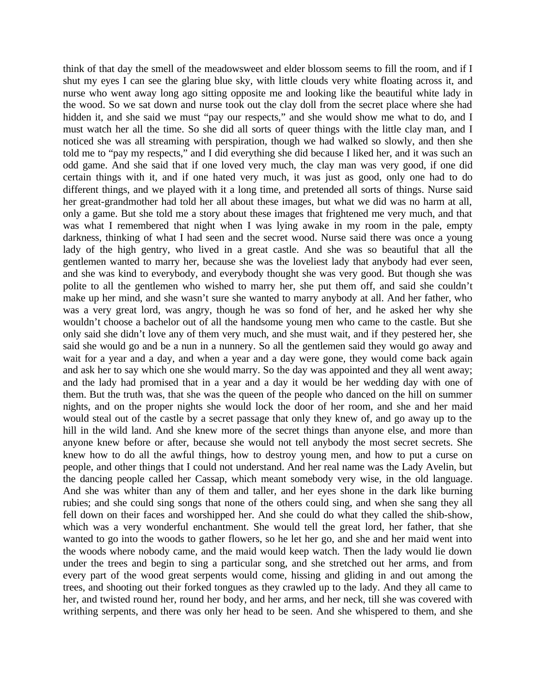think of that day the smell of the meadowsweet and elder blossom seems to fill the room, and if I shut my eyes I can see the glaring blue sky, with little clouds very white floating across it, and nurse who went away long ago sitting opposite me and looking like the beautiful white lady in the wood. So we sat down and nurse took out the clay doll from the secret place where she had hidden it, and she said we must "pay our respects," and she would show me what to do, and I must watch her all the time. So she did all sorts of queer things with the little clay man, and I noticed she was all streaming with perspiration, though we had walked so slowly, and then she told me to "pay my respects," and I did everything she did because I liked her, and it was such an odd game. And she said that if one loved very much, the clay man was very good, if one did certain things with it, and if one hated very much, it was just as good, only one had to do different things, and we played with it a long time, and pretended all sorts of things. Nurse said her great-grandmother had told her all about these images, but what we did was no harm at all, only a game. But she told me a story about these images that frightened me very much, and that was what I remembered that night when I was lying awake in my room in the pale, empty darkness, thinking of what I had seen and the secret wood. Nurse said there was once a young lady of the high gentry, who lived in a great castle. And she was so beautiful that all the gentlemen wanted to marry her, because she was the loveliest lady that anybody had ever seen, and she was kind to everybody, and everybody thought she was very good. But though she was polite to all the gentlemen who wished to marry her, she put them off, and said she couldn't make up her mind, and she wasn't sure she wanted to marry anybody at all. And her father, who was a very great lord, was angry, though he was so fond of her, and he asked her why she wouldn't choose a bachelor out of all the handsome young men who came to the castle. But she only said she didn't love any of them very much, and she must wait, and if they pestered her, she said she would go and be a nun in a nunnery. So all the gentlemen said they would go away and wait for a year and a day, and when a year and a day were gone, they would come back again and ask her to say which one she would marry. So the day was appointed and they all went away; and the lady had promised that in a year and a day it would be her wedding day with one of them. But the truth was, that she was the queen of the people who danced on the hill on summer nights, and on the proper nights she would lock the door of her room, and she and her maid would steal out of the castle by a secret passage that only they knew of, and go away up to the hill in the wild land. And she knew more of the secret things than anyone else, and more than anyone knew before or after, because she would not tell anybody the most secret secrets. She knew how to do all the awful things, how to destroy young men, and how to put a curse on people, and other things that I could not understand. And her real name was the Lady Avelin, but the dancing people called her Cassap, which meant somebody very wise, in the old language. And she was whiter than any of them and taller, and her eyes shone in the dark like burning rubies; and she could sing songs that none of the others could sing, and when she sang they all fell down on their faces and worshipped her. And she could do what they called the shib-show, which was a very wonderful enchantment. She would tell the great lord, her father, that she wanted to go into the woods to gather flowers, so he let her go, and she and her maid went into the woods where nobody came, and the maid would keep watch. Then the lady would lie down under the trees and begin to sing a particular song, and she stretched out her arms, and from every part of the wood great serpents would come, hissing and gliding in and out among the trees, and shooting out their forked tongues as they crawled up to the lady. And they all came to her, and twisted round her, round her body, and her arms, and her neck, till she was covered with writhing serpents, and there was only her head to be seen. And she whispered to them, and she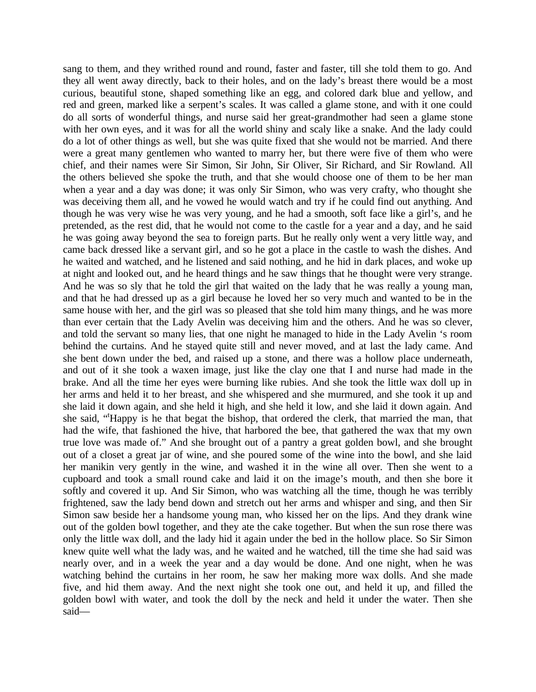sang to them, and they writhed round and round, faster and faster, till she told them to go. And they all went away directly, back to their holes, and on the lady's breast there would be a most curious, beautiful stone, shaped something like an egg, and colored dark blue and yellow, and red and green, marked like a serpent's scales. It was called a glame stone, and with it one could do all sorts of wonderful things, and nurse said her great-grandmother had seen a glame stone with her own eyes, and it was for all the world shiny and scaly like a snake. And the lady could do a lot of other things as well, but she was quite fixed that she would not be married. And there were a great many gentlemen who wanted to marry her, but there were five of them who were chief, and their names were Sir Simon, Sir John, Sir Oliver, Sir Richard, and Sir Rowland. All the others believed she spoke the truth, and that she would choose one of them to be her man when a year and a day was done; it was only Sir Simon, who was very crafty, who thought she was deceiving them all, and he vowed he would watch and try if he could find out anything. And though he was very wise he was very young, and he had a smooth, soft face like a girl's, and he pretended, as the rest did, that he would not come to the castle for a year and a day, and he said he was going away beyond the sea to foreign parts. But he really only went a very little way, and came back dressed like a servant girl, and so he got a place in the castle to wash the dishes. And he waited and watched, and he listened and said nothing, and he hid in dark places, and woke up at night and looked out, and he heard things and he saw things that he thought were very strange. And he was so sly that he told the girl that waited on the lady that he was really a young man, and that he had dressed up as a girl because he loved her so very much and wanted to be in the same house with her, and the girl was so pleased that she told him many things, and he was more than ever certain that the Lady Avelin was deceiving him and the others. And he was so clever, and told the servant so many lies, that one night he managed to hide in the Lady Avelin 's room behind the curtains. And he stayed quite still and never moved, and at last the lady came. And she bent down under the bed, and raised up a stone, and there was a hollow place underneath, and out of it she took a waxen image, just like the clay one that I and nurse had made in the brake. And all the time her eyes were burning like rubies. And she took the little wax doll up in her arms and held it to her breast, and she whispered and she murmured, and she took it up and she laid it down again, and she held it high, and she held it low, and she laid it down again. And she said, "Happy is he that begat the bishop, that ordered the clerk, that married the man, that had the wife, that fashioned the hive, that harbored the bee, that gathered the wax that my own true love was made of." And she brought out of a pantry a great golden bowl, and she brought out of a closet a great jar of wine, and she poured some of the wine into the bowl, and she laid her manikin very gently in the wine, and washed it in the wine all over. Then she went to a cupboard and took a small round cake and laid it on the image's mouth, and then she bore it softly and covered it up. And Sir Simon, who was watching all the time, though he was terribly frightened, saw the lady bend down and stretch out her arms and whisper and sing, and then Sir Simon saw beside her a handsome young man, who kissed her on the lips. And they drank wine out of the golden bowl together, and they ate the cake together. But when the sun rose there was only the little wax doll, and the lady hid it again under the bed in the hollow place. So Sir Simon knew quite well what the lady was, and he waited and he watched, till the time she had said was nearly over, and in a week the year and a day would be done. And one night, when he was watching behind the curtains in her room, he saw her making more wax dolls. And she made five, and hid them away. And the next night she took one out, and held it up, and filled the golden bowl with water, and took the doll by the neck and held it under the water. Then she said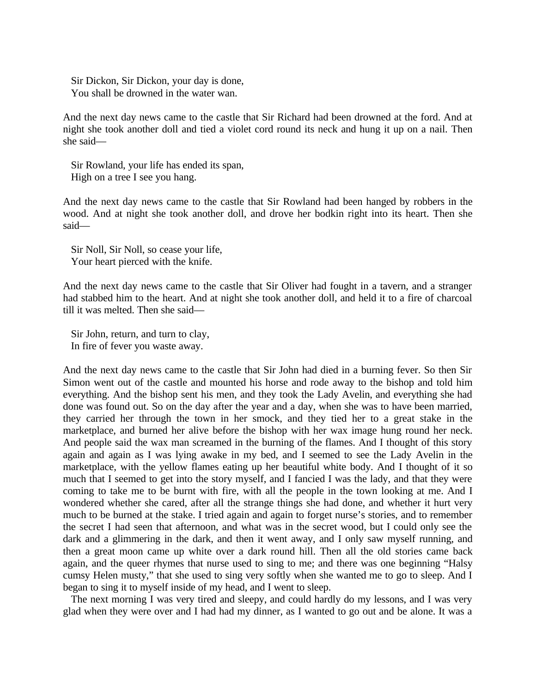Sir Dickon, Sir Dickon, your day is done, You shall be drowned in the water wan.

And the next day news came to the castle that Sir Richard had been drowned at the ford. And at night she took another doll and tied a violet cord round its neck and hung it up on a nail. Then she said—

Sir Rowland, your life has ended its span, High on a tree I see you hang.

And the next day news came to the castle that Sir Rowland had been hanged by robbers in the wood. And at night she took another doll, and drove her bodkin right into its heart. Then she said—

Sir Noll, Sir Noll, so cease your life, Your heart pierced with the knife.

And the next day news came to the castle that Sir Oliver had fought in a tavern, and a stranger had stabbed him to the heart. And at night she took another doll, and held it to a fire of charcoal till it was melted. Then she said—

Sir John, return, and turn to clay, In fire of fever you waste away.

And the next day news came to the castle that Sir John had died in a burning fever. So then Sir Simon went out of the castle and mounted his horse and rode away to the bishop and told him everything. And the bishop sent his men, and they took the Lady Avelin, and everything she had done was found out. So on the day after the year and a day, when she was to have been married, they carried her through the town in her smock, and they tied her to a great stake in the marketplace, and burned her alive before the bishop with her wax image hung round her neck. And people said the wax man screamed in the burning of the flames. And I thought of this story again and again as I was lying awake in my bed, and I seemed to see the Lady Avelin in the marketplace, with the yellow flames eating up her beautiful white body. And I thought of it so much that I seemed to get into the story myself, and I fancied I was the lady, and that they were coming to take me to be burnt with fire, with all the people in the town looking at me. And I wondered whether she cared, after all the strange things she had done, and whether it hurt very much to be burned at the stake. I tried again and again to forget nurse's stories, and to remember the secret I had seen that afternoon, and what was in the secret wood, but I could only see the dark and a glimmering in the dark, and then it went away, and I only saw myself running, and then a great moon came up white over a dark round hill. Then all the old stories came back again, and the queer rhymes that nurse used to sing to me; and there was one beginning "Halsy cumsy Helen musty," that she used to sing very softly when she wanted me to go to sleep. And I began to sing it to myself inside of my head, and I went to sleep.

The next morning I was very tired and sleepy, and could hardly do my lessons, and I was very glad when they were over and I had had my dinner, as I wanted to go out and be alone. It was a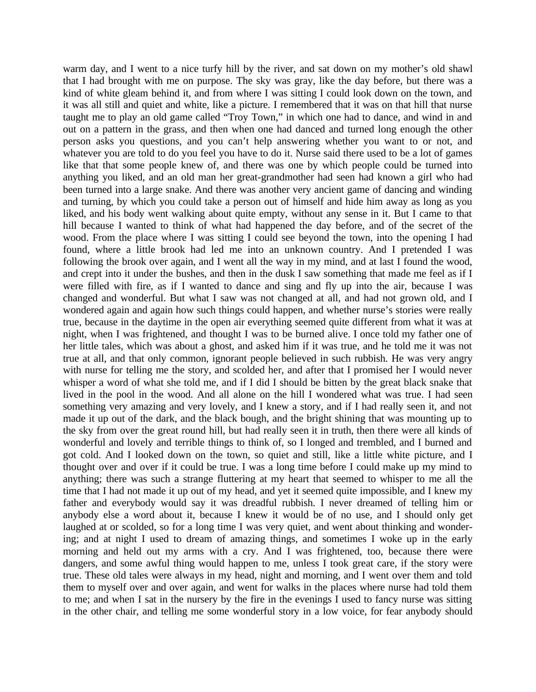warm day, and I went to a nice turfy hill by the river, and sat down on my mother's old shawl that I had brought with me on purpose. The sky was gray, like the day before, but there was a kind of white gleam behind it, and from where I was sitting I could look down on the town, and it was all still and quiet and white, like a picture. I remembered that it was on that hill that nurse taught me to play an old game called "Troy Town," in which one had to dance, and wind in and out on a pattern in the grass, and then when one had danced and turned long enough the other person asks you questions, and you can't help answering whether you want to or not, and whatever you are told to do you feel you have to do it. Nurse said there used to be a lot of games like that that some people knew of, and there was one by which people could be turned into anything you liked, and an old man her great-grandmother had seen had known a girl who had been turned into a large snake. And there was another very ancient game of dancing and winding and turning, by which you could take a person out of himself and hide him away as long as you liked, and his body went walking about quite empty, without any sense in it. But I came to that hill because I wanted to think of what had happened the day before, and of the secret of the wood. From the place where I was sitting I could see beyond the town, into the opening I had found, where a little brook had led me into an unknown country. And I pretended I was following the brook over again, and I went all the way in my mind, and at last I found the wood, and crept into it under the bushes, and then in the dusk I saw something that made me feel as if I were filled with fire, as if I wanted to dance and sing and fly up into the air, because I was changed and wonderful. But what I saw was not changed at all, and had not grown old, and I wondered again and again how such things could happen, and whether nurse's stories were really true, because in the daytime in the open air everything seemed quite different from what it was at night, when I was frightened, and thought I was to be burned alive. I once told my father one of her little tales, which was about a ghost, and asked him if it was true, and he told me it was not true at all, and that only common, ignorant people believed in such rubbish. He was very angry with nurse for telling me the story, and scolded her, and after that I promised her I would never whisper a word of what she told me, and if I did I should be bitten by the great black snake that lived in the pool in the wood. And all alone on the hill I wondered what was true. I had seen something very amazing and very lovely, and I knew a story, and if I had really seen it, and not made it up out of the dark, and the black bough, and the bright shining that was mounting up to the sky from over the great round hill, but had really seen it in truth, then there were all kinds of wonderful and lovely and terrible things to think of, so I longed and trembled, and I burned and got cold. And I looked down on the town, so quiet and still, like a little white picture, and I thought over and over if it could be true. I was a long time before I could make up my mind to anything; there was such a strange fluttering at my heart that seemed to whisper to me all the time that I had not made it up out of my head, and yet it seemed quite impossible, and I knew my father and everybody would say it was dreadful rubbish. I never dreamed of telling him or anybody else a word about it, because I knew it would be of no use, and I should only get laughed at or scolded, so for a long time I was very quiet, and went about thinking and wondering; and at night I used to dream of amazing things, and sometimes I woke up in the early morning and held out my arms with a cry. And I was frightened, too, because there were dangers, and some awful thing would happen to me, unless I took great care, if the story were true. These old tales were always in my head, night and morning, and I went over them and told them to myself over and over again, and went for walks in the places where nurse had told them to me; and when I sat in the nursery by the fire in the evenings I used to fancy nurse was sitting in the other chair, and telling me some wonderful story in a low voice, for fear anybody should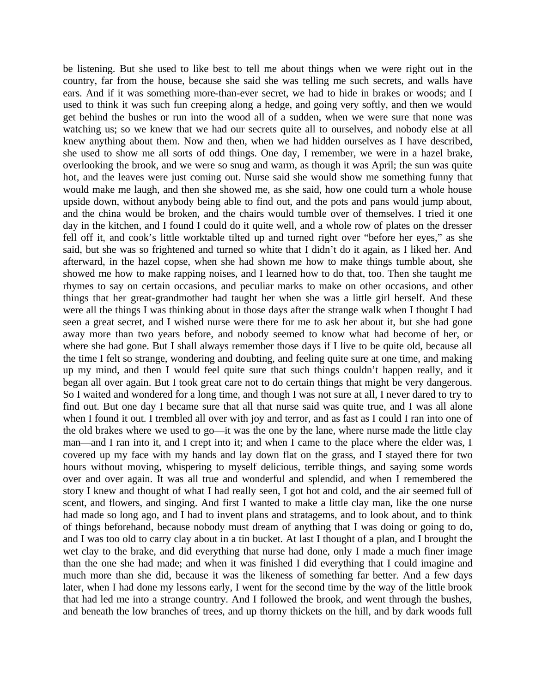be listening. But she used to like best to tell me about things when we were right out in the country, far from the house, because she said she was telling me such secrets, and walls have ears. And if it was something more-than-ever secret, we had to hide in brakes or woods; and I used to think it was such fun creeping along a hedge, and going very softly, and then we would get behind the bushes or run into the wood all of a sudden, when we were sure that none was watching us; so we knew that we had our secrets quite all to ourselves, and nobody else at all knew anything about them. Now and then, when we had hidden ourselves as I have described, she used to show me all sorts of odd things. One day, I remember, we were in a hazel brake, overlooking the brook, and we were so snug and warm, as though it was April; the sun was quite hot, and the leaves were just coming out. Nurse said she would show me something funny that would make me laugh, and then she showed me, as she said, how one could turn a whole house upside down, without anybody being able to find out, and the pots and pans would jump about, and the china would be broken, and the chairs would tumble over of themselves. I tried it one day in the kitchen, and I found I could do it quite well, and a whole row of plates on the dresser fell off it, and cook's little worktable tilted up and turned right over "before her eyes," as she said, but she was so frightened and turned so white that I didn't do it again, as I liked her. And afterward, in the hazel copse, when she had shown me how to make things tumble about, she showed me how to make rapping noises, and I learned how to do that, too. Then she taught me rhymes to say on certain occasions, and peculiar marks to make on other occasions, and other things that her great-grandmother had taught her when she was a little girl herself. And these were all the things I was thinking about in those days after the strange walk when I thought I had seen a great secret, and I wished nurse were there for me to ask her about it, but she had gone away more than two years before, and nobody seemed to know what had become of her, or where she had gone. But I shall always remember those days if I live to be quite old, because all the time I felt so strange, wondering and doubting, and feeling quite sure at one time, and making up my mind, and then I would feel quite sure that such things couldn't happen really, and it began all over again. But I took great care not to do certain things that might be very dangerous. So I waited and wondered for a long time, and though I was not sure at all, I never dared to try to find out. But one day I became sure that all that nurse said was quite true, and I was all alone when I found it out. I trembled all over with joy and terror, and as fast as I could I ran into one of the old brakes where we used to go—it was the one by the lane, where nurse made the little clay man—and I ran into it, and I crept into it; and when I came to the place where the elder was, I covered up my face with my hands and lay down flat on the grass, and I stayed there for two hours without moving, whispering to myself delicious, terrible things, and saying some words over and over again. It was all true and wonderful and splendid, and when I remembered the story I knew and thought of what I had really seen, I got hot and cold, and the air seemed full of scent, and flowers, and singing. And first I wanted to make a little clay man, like the one nurse had made so long ago, and I had to invent plans and stratagems, and to look about, and to think of things beforehand, because nobody must dream of anything that I was doing or going to do, and I was too old to carry clay about in a tin bucket. At last I thought of a plan, and I brought the wet clay to the brake, and did everything that nurse had done, only I made a much finer image than the one she had made; and when it was finished I did everything that I could imagine and much more than she did, because it was the likeness of something far better. And a few days later, when I had done my lessons early, I went for the second time by the way of the little brook that had led me into a strange country. And I followed the brook, and went through the bushes, and beneath the low branches of trees, and up thorny thickets on the hill, and by dark woods full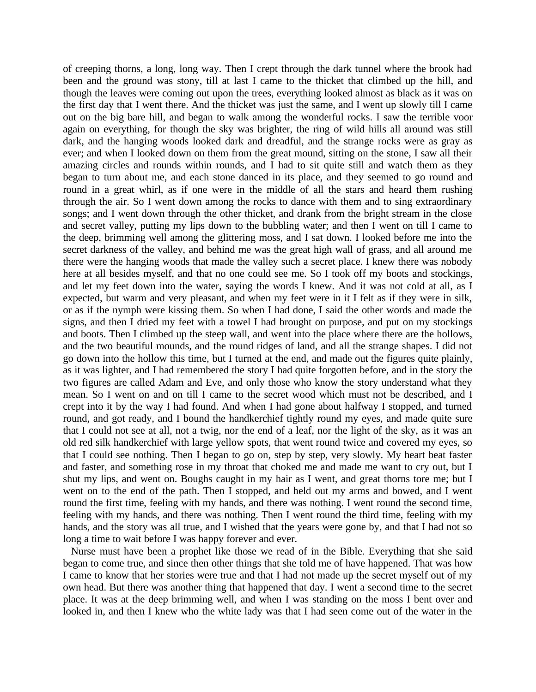of creeping thorns, a long, long way. Then I crept through the dark tunnel where the brook had been and the ground was stony, till at last I came to the thicket that climbed up the hill, and though the leaves were coming out upon the trees, everything looked almost as black as it was on the first day that I went there. And the thicket was just the same, and I went up slowly till I came out on the big bare hill, and began to walk among the wonderful rocks. I saw the terrible voor again on everything, for though the sky was brighter, the ring of wild hills all around was still dark, and the hanging woods looked dark and dreadful, and the strange rocks were as gray as ever; and when I looked down on them from the great mound, sitting on the stone, I saw all their amazing circles and rounds within rounds, and I had to sit quite still and watch them as they began to turn about me, and each stone danced in its place, and they seemed to go round and round in a great whirl, as if one were in the middle of all the stars and heard them rushing through the air. So I went down among the rocks to dance with them and to sing extraordinary songs; and I went down through the other thicket, and drank from the bright stream in the close and secret valley, putting my lips down to the bubbling water; and then I went on till I came to the deep, brimming well among the glittering moss, and I sat down. I looked before me into the secret darkness of the valley, and behind me was the great high wall of grass, and all around me there were the hanging woods that made the valley such a secret place. I knew there was nobody here at all besides myself, and that no one could see me. So I took off my boots and stockings, and let my feet down into the water, saying the words I knew. And it was not cold at all, as I expected, but warm and very pleasant, and when my feet were in it I felt as if they were in silk, or as if the nymph were kissing them. So when I had done, I said the other words and made the signs, and then I dried my feet with a towel I had brought on purpose, and put on my stockings and boots. Then I climbed up the steep wall, and went into the place where there are the hollows, and the two beautiful mounds, and the round ridges of land, and all the strange shapes. I did not go down into the hollow this time, but I turned at the end, and made out the figures quite plainly, as it was lighter, and I had remembered the story I had quite forgotten before, and in the story the two figures are called Adam and Eve, and only those who know the story understand what they mean. So I went on and on till I came to the secret wood which must not be described, and I crept into it by the way I had found. And when I had gone about halfway I stopped, and turned round, and got ready, and I bound the handkerchief tightly round my eyes, and made quite sure that I could not see at all, not a twig, nor the end of a leaf, nor the light of the sky, as it was an old red silk handkerchief with large yellow spots, that went round twice and covered my eyes, so that I could see nothing. Then I began to go on, step by step, very slowly. My heart beat faster and faster, and something rose in my throat that choked me and made me want to cry out, but I shut my lips, and went on. Boughs caught in my hair as I went, and great thorns tore me; but I went on to the end of the path. Then I stopped, and held out my arms and bowed, and I went round the first time, feeling with my hands, and there was nothing. I went round the second time, feeling with my hands, and there was nothing. Then I went round the third time, feeling with my hands, and the story was all true, and I wished that the years were gone by, and that I had not so long a time to wait before I was happy forever and ever.

Nurse must have been a prophet like those we read of in the Bible. Everything that she said began to come true, and since then other things that she told me of have happened. That was how I came to know that her stories were true and that I had not made up the secret myself out of my own head. But there was another thing that happened that day. I went a second time to the secret place. It was at the deep brimming well, and when I was standing on the moss I bent over and looked in, and then I knew who the white lady was that I had seen come out of the water in the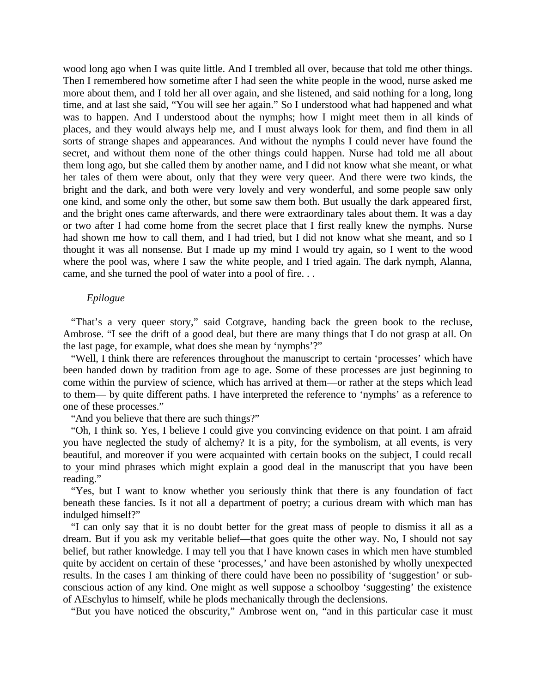wood long ago when I was quite little. And I trembled all over, because that told me other things. Then I remembered how sometime after I had seen the white people in the wood, nurse asked me more about them, and I told her all over again, and she listened, and said nothing for a long, long time, and at last she said, "You will see her again." So I understood what had happened and what was to happen. And I understood about the nymphs; how I might meet them in all kinds of places, and they would always help me, and I must always look for them, and find them in all sorts of strange shapes and appearances. And without the nymphs I could never have found the secret, and without them none of the other things could happen. Nurse had told me all about them long ago, but she called them by another name, and I did not know what she meant, or what her tales of them were about, only that they were very queer. And there were two kinds, the bright and the dark, and both were very lovely and very wonderful, and some people saw only one kind, and some only the other, but some saw them both. But usually the dark appeared first, and the bright ones came afterwards, and there were extraordinary tales about them. It was a day or two after I had come home from the secret place that I first really knew the nymphs. Nurse had shown me how to call them, and I had tried, but I did not know what she meant, and so I thought it was all nonsense. But I made up my mind I would try again, so I went to the wood where the pool was, where I saw the white people, and I tried again. The dark nymph, Alanna, came, and she turned the pool of water into a pool of fire. . .

## *Epilogue*

"That's a very queer story," said Cotgrave, handing back the green book to the recluse, Ambrose. "I see the drift of a good deal, but there are many things that I do not grasp at all. On the last page, for example, what does she mean by 'nymphs'?"

"Well, I think there are references throughout the manuscript to certain 'processes' which have been handed down by tradition from age to age. Some of these processes are just beginning to come within the purview of science, which has arrived at them—or rather at the steps which lead to them— by quite different paths. I have interpreted the reference to 'nymphs' as a reference to one of these processes."

"And you believe that there are such things?"

"Oh, I think so. Yes, I believe I could give you convincing evidence on that point. I am afraid you have neglected the study of alchemy? It is a pity, for the symbolism, at all events, is very beautiful, and moreover if you were acquainted with certain books on the subject, I could recall to your mind phrases which might explain a good deal in the manuscript that you have been reading."

"Yes, but I want to know whether you seriously think that there is any foundation of fact beneath these fancies. Is it not all a department of poetry; a curious dream with which man has indulged himself?"

"I can only say that it is no doubt better for the great mass of people to dismiss it all as a dream. But if you ask my veritable belief—that goes quite the other way. No, I should not say belief, but rather knowledge. I may tell you that I have known cases in which men have stumbled quite by accident on certain of these 'processes,' and have been astonished by wholly unexpected results. In the cases I am thinking of there could have been no possibility of 'suggestion' or subconscious action of any kind. One might as well suppose a schoolboy 'suggesting' the existence of AEschylus to himself, while he plods mechanically through the declensions.

"But you have noticed the obscurity," Ambrose went on, "and in this particular case it must